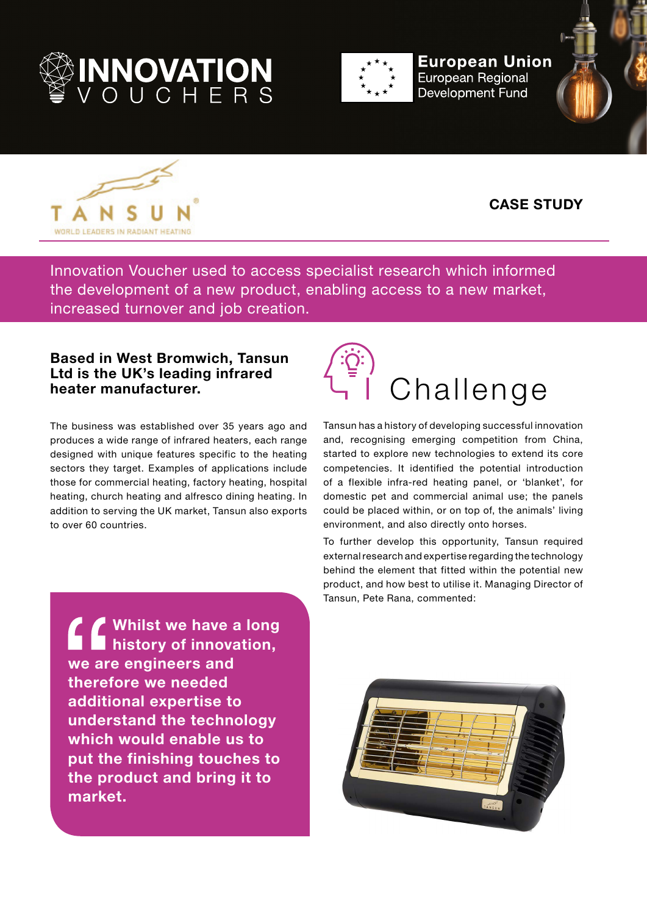



**European Union European Regional Development Fund** 





## **CASE STUDY**

Innovation Voucher used to access specialist research which informed the development of a new product, enabling access to a new market, increased turnover and job creation.

## **Based in West Bromwich, Tansun Ltd is the UK's leading infrared heater manufacturer.**

The business was established over 35 years ago and produces a wide range of infrared heaters, each range designed with unique features specific to the heating sectors they target. Examples of applications include those for commercial heating, factory heating, hospital heating, church heating and alfresco dining heating. In addition to serving the UK market, Tansun also exports to over 60 countries.



Tansun has a history of developing successful innovation and, recognising emerging competition from China, started to explore new technologies to extend its core competencies. It identified the potential introduction of a flexible infra-red heating panel, or 'blanket', for domestic pet and commercial animal use; the panels could be placed within, or on top of, the animals' living environment, and also directly onto horses.

To further develop this opportunity, Tansun required external research and expertise regarding the technology behind the element that fitted within the potential new product, and how best to utilise it. Managing Director of Tansun, Pete Rana, commented:

**Whilst we have a long history of innovation, we are engineers and therefore we needed additional expertise to understand the technology which would enable us to put the finishing touches to the product and bring it to market.**